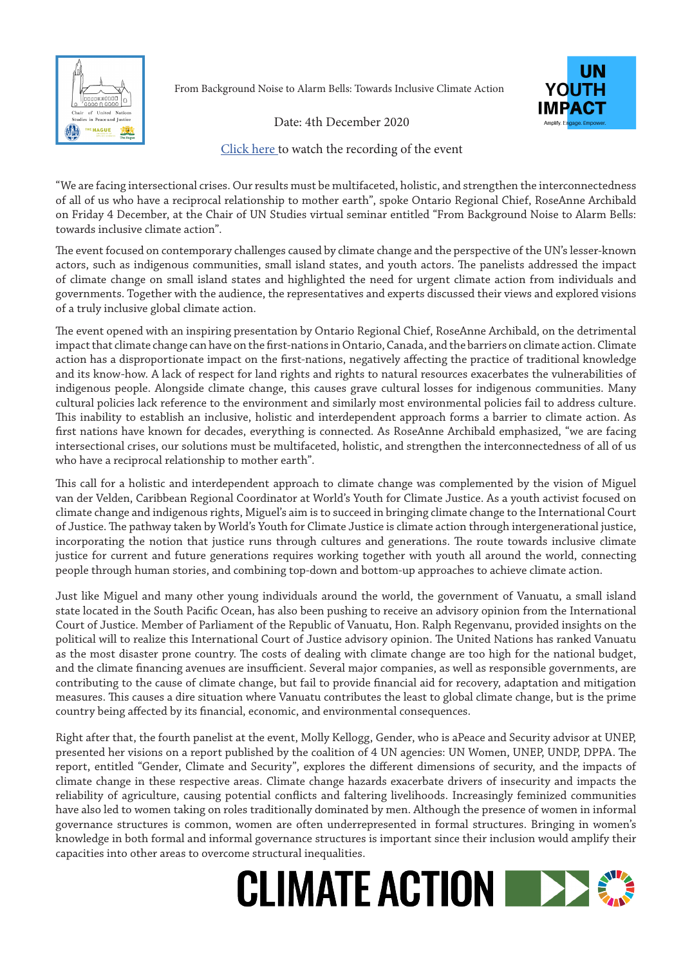

From Background Noise to Alarm Bells: Towards Inclusive Climate Action



Date: 4th December 2020

[Click here t](https://youtu.be/1zGiecYaU3I)o watch the recording of the event

"We are facing intersectional crises. Our results must be multifaceted, holistic, and strengthen the interconnectedness of all of us who have a reciprocal relationship to mother earth", spoke Ontario Regional Chief, RoseAnne Archibald on Friday 4 December, at the Chair of UN Studies virtual seminar entitled "From Background Noise to Alarm Bells: towards inclusive climate action".

The event focused on contemporary challenges caused by climate change and the perspective of the UN's lesser-known actors, such as indigenous communities, small island states, and youth actors. The panelists addressed the impact of climate change on small island states and highlighted the need for urgent climate action from individuals and governments. Together with the audience, the representatives and experts discussed their views and explored visions of a truly inclusive global climate action.

The event opened with an inspiring presentation by Ontario Regional Chief, RoseAnne Archibald, on the detrimental impact that climate change can have on the first-nations in Ontario, Canada, and the barriers on climate action. Climate action has a disproportionate impact on the first-nations, negatively affecting the practice of traditional knowledge and its know-how. A lack of respect for land rights and rights to natural resources exacerbates the vulnerabilities of indigenous people. Alongside climate change, this causes grave cultural losses for indigenous communities. Many cultural policies lack reference to the environment and similarly most environmental policies fail to address culture. This inability to establish an inclusive, holistic and interdependent approach forms a barrier to climate action. As first nations have known for decades, everything is connected. As RoseAnne Archibald emphasized, "we are facing intersectional crises, our solutions must be multifaceted, holistic, and strengthen the interconnectedness of all of us who have a reciprocal relationship to mother earth".

This call for a holistic and interdependent approach to climate change was complemented by the vision of Miguel van der Velden, Caribbean Regional Coordinator at World's Youth for Climate Justice. As a youth activist focused on climate change and indigenous rights, Miguel's aim is to succeed in bringing climate change to the International Court of Justice. The pathway taken by World's Youth for Climate Justice is climate action through intergenerational justice, incorporating the notion that justice runs through cultures and generations. The route towards inclusive climate justice for current and future generations requires working together with youth all around the world, connecting people through human stories, and combining top-down and bottom-up approaches to achieve climate action.

Just like Miguel and many other young individuals around the world, the government of Vanuatu, a small island state located in the South Pacific Ocean, has also been pushing to receive an advisory opinion from the International Court of Justice. Member of Parliament of the Republic of Vanuatu, Hon. Ralph Regenvanu, provided insights on the political will to realize this International Court of Justice advisory opinion. The United Nations has ranked Vanuatu as the most disaster prone country. The costs of dealing with climate change are too high for the national budget, and the climate financing avenues are insufficient. Several major companies, as well as responsible governments, are contributing to the cause of climate change, but fail to provide financial aid for recovery, adaptation and mitigation measures. This causes a dire situation where Vanuatu contributes the least to global climate change, but is the prime country being affected by its financial, economic, and environmental consequences.

Right after that, the fourth panelist at the event, Molly Kellogg, Gender, who is aPeace and Security advisor at UNEP, presented her visions on a report published by the coalition of 4 UN agencies: UN Women, UNEP, UNDP, DPPA. The report, entitled "Gender, Climate and Security", explores the different dimensions of security, and the impacts of climate change in these respective areas. Climate change hazards exacerbate drivers of insecurity and impacts the reliability of agriculture, causing potential conflicts and faltering livelihoods. Increasingly feminized communities have also led to women taking on roles traditionally dominated by men. Although the presence of women in informal governance structures is common, women are often underrepresented in formal structures. Bringing in women's knowledge in both formal and informal governance structures is important since their inclusion would amplify their capacities into other areas to overcome structural inequalities.